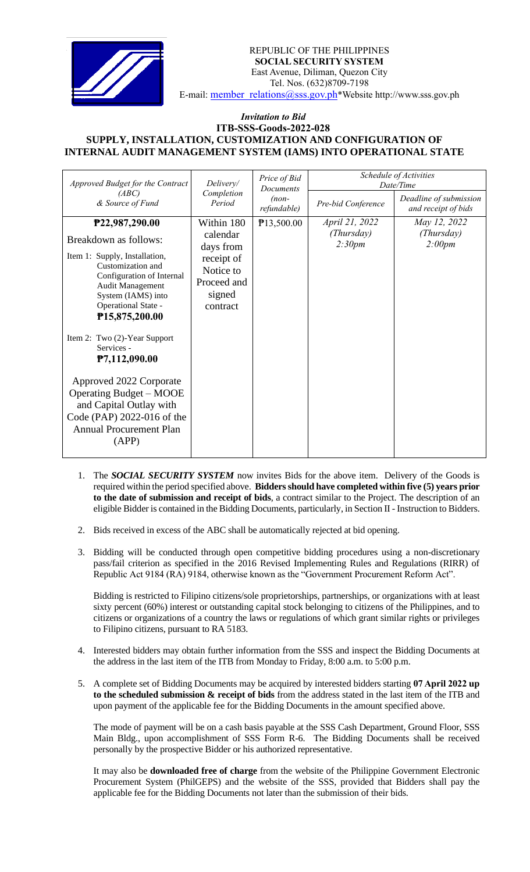

REPUBLIC OF THE PHILIPPINES  **SOCIAL SECURITY SYSTEM** East Avenue, Diliman, Quezon City Tel. Nos. (632)8709-7198 E-mail: [member\\_relations@sss.gov.ph](mailto:member_relations@sss.gov.ph)\*Website http://www.sss.gov.ph

## *Invitation to Bid*  **ITB-SSS-Goods-2022-028 SUPPLY, INSTALLATION, CUSTOMIZATION AND CONFIGURATION OF INTERNAL AUDIT MANAGEMENT SYSTEM (IAMS) INTO OPERATIONAL STATE**

| Approved Budget for the Contract                                                                                                                                                                              | Delivery/                                                                                           | Price of Bid<br><b>Documents</b><br>$(non-$<br>refundable) | Schedule of Activities<br>Date/Time    |                                               |
|---------------------------------------------------------------------------------------------------------------------------------------------------------------------------------------------------------------|-----------------------------------------------------------------------------------------------------|------------------------------------------------------------|----------------------------------------|-----------------------------------------------|
| (ABC)<br>& Source of Fund                                                                                                                                                                                     | Completion<br>Period                                                                                |                                                            | Pre-bid Conference                     | Deadline of submission<br>and receipt of bids |
| P22,987,290.00<br>Breakdown as follows:<br>Item 1: Supply, Installation,<br>Customization and<br>Configuration of Internal<br>Audit Management<br>System (IAMS) into<br>Operational State -<br>P15,875,200.00 | Within 180<br>calendar<br>days from<br>receipt of<br>Notice to<br>Proceed and<br>signed<br>contract | P13,500.00                                                 | April 21, 2022<br>(Thursday)<br>2:30pm | May 12, 2022<br>(Thursday)<br>2:00pm          |
| Item 2: Two (2)-Year Support<br>Services -<br>P7,112,090.00                                                                                                                                                   |                                                                                                     |                                                            |                                        |                                               |
| Approved 2022 Corporate<br><b>Operating Budget – MOOE</b><br>and Capital Outlay with<br>Code (PAP) 2022-016 of the<br><b>Annual Procurement Plan</b><br>(APP)                                                 |                                                                                                     |                                                            |                                        |                                               |

- 1. The *SOCIAL SECURITY SYSTEM* now invites Bids for the above item. Delivery of the Goods is required within the period specified above. **Bidders should have completed within five (5) years prior to the date of submission and receipt of bids**, a contract similar to the Project. The description of an eligible Bidder is contained in the Bidding Documents, particularly, in Section II - Instruction to Bidders.
- 2. Bids received in excess of the ABC shall be automatically rejected at bid opening.
- 3. Bidding will be conducted through open competitive bidding procedures using a non-discretionary pass/fail criterion as specified in the 2016 Revised Implementing Rules and Regulations (RIRR) of Republic Act 9184 (RA) 9184, otherwise known as the "Government Procurement Reform Act".

Bidding is restricted to Filipino citizens/sole proprietorships, partnerships, or organizations with at least sixty percent (60%) interest or outstanding capital stock belonging to citizens of the Philippines, and to citizens or organizations of a country the laws or regulations of which grant similar rights or privileges to Filipino citizens, pursuant to RA 5183.

- 4. Interested bidders may obtain further information from the SSS and inspect the Bidding Documents at the address in the last item of the ITB from Monday to Friday, 8:00 a.m. to 5:00 p.m.
- 5. A complete set of Bidding Documents may be acquired by interested bidders starting **07 April 2022 up to the scheduled submission & receipt of bids** from the address stated in the last item of the ITB and upon payment of the applicable fee for the Bidding Documents in the amount specified above.

The mode of payment will be on a cash basis payable at the SSS Cash Department, Ground Floor, SSS Main Bldg., upon accomplishment of SSS Form R-6. The Bidding Documents shall be received personally by the prospective Bidder or his authorized representative.

It may also be **downloaded free of charge** from the website of the Philippine Government Electronic Procurement System (PhilGEPS) and the website of the SSS*,* provided that Bidders shall pay the applicable fee for the Bidding Documents not later than the submission of their bids.